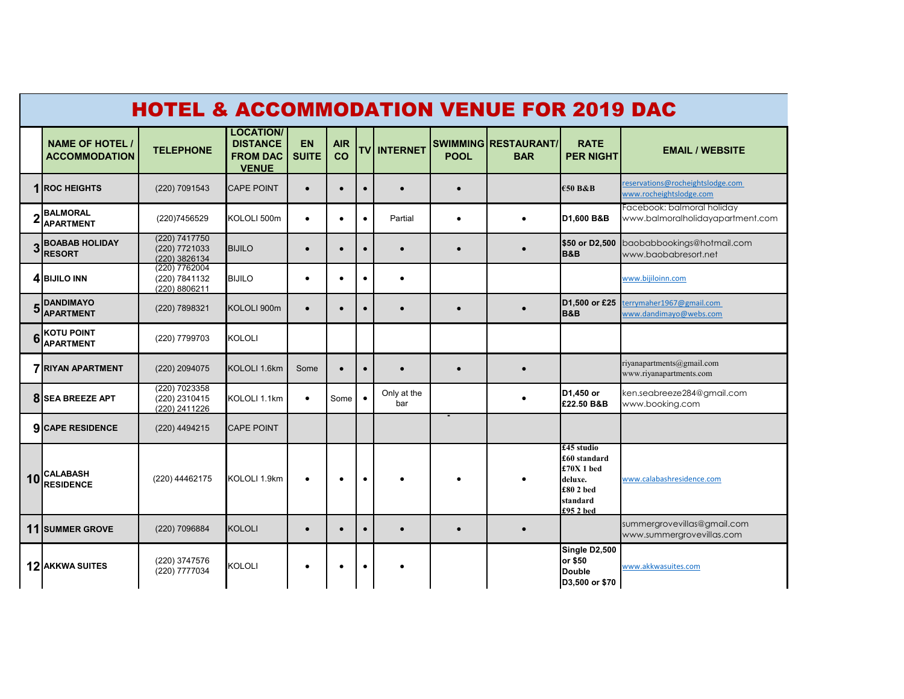|    | <b>HOTEL &amp; ACCOMMODATION VENUE FOR 2019 DAC</b> |                                                 |                                                                        |                           |                  |  |                    |             |                                    |                                                                                          |                                                                |  |
|----|-----------------------------------------------------|-------------------------------------------------|------------------------------------------------------------------------|---------------------------|------------------|--|--------------------|-------------|------------------------------------|------------------------------------------------------------------------------------------|----------------------------------------------------------------|--|
|    | <b>NAME OF HOTEL /</b><br><b>ACCOMMODATION</b>      | <b>TELEPHONE</b>                                | <b>LOCATION/</b><br><b>DISTANCE</b><br><b>FROM DAC</b><br><b>VENUE</b> | <b>EN</b><br><b>SUITE</b> | <b>AIR</b><br>CO |  | <b>TV INTERNET</b> | <b>POOL</b> | SWIMMING RESTAURANT/<br><b>BAR</b> | <b>RATE</b><br><b>PER NIGHT</b>                                                          | <b>EMAIL / WEBSITE</b>                                         |  |
|    | <b>1 IROC HEIGHTS</b>                               | (220) 7091543                                   | <b>CAPE POINT</b>                                                      | $\bullet$                 | $\bullet$        |  |                    |             |                                    | €50 B&B                                                                                  | eservations@rocheightslodge.com<br>www.rocheightslodge.com     |  |
|    | <b>BALMORAL</b><br><b>APARTMENT</b>                 | (220)7456529                                    | KOLOLI 500m                                                            | $\bullet$                 | $\bullet$        |  | Partial            | $\bullet$   | $\bullet$                          | D1,600 B&B                                                                               | Facebook: balmoral holiday<br>www.balmoralholidayapartment.com |  |
|    | <b>BOABAB HOLIDAY</b><br><b>RESORT</b>              | (220) 7417750<br>(220) 7721033<br>(220) 3826134 | <b>BIJILO</b>                                                          | $\bullet$                 | $\bullet$        |  |                    |             |                                    | \$50 or D2,500<br><b>B&amp;B</b>                                                         | baobabbookings@hotmail.com<br>www.baobabresort.net             |  |
|    | 4 BIJILO INN                                        | (220) 7762004<br>(220) 7841132<br>(220) 8806211 | <b>BIJILO</b>                                                          | $\bullet$                 | $\bullet$        |  | $\bullet$          |             |                                    |                                                                                          | www.bijiloinn.com                                              |  |
| 5  | <b>DANDIMAYO</b><br><b>APARTMENT</b>                | (220) 7898321                                   | KOLOLI 900m                                                            | $\bullet$                 | $\bullet$        |  |                    |             |                                    | D1,500 or £25<br>B&B                                                                     | terrymaher1967@gmail.com<br>www.dandimayo@webs.com             |  |
| 6  | <b>KOTU POINT</b><br><b>APARTMENT</b>               | (220) 7799703                                   | <b>KOLOLI</b>                                                          |                           |                  |  |                    |             |                                    |                                                                                          |                                                                |  |
|    | <b>7 RIYAN APARTMENT</b>                            | (220) 2094075                                   | KOLOLI 1.6km                                                           | Some                      | $\bullet$        |  |                    |             | $\bullet$                          |                                                                                          | riyanapartments@gmail.com<br>www.riyanapartments.com           |  |
|    | <b>8</b> SEA BREEZE APT                             | (220) 7023358<br>(220) 2310415<br>(220) 2411226 | KOLOLI 1.1km                                                           | $\bullet$                 | Some             |  | Only at the<br>bar |             | $\bullet$                          | D1,450 or<br>£22.50 B&B                                                                  | ken.seabreeze284@gmail.com<br>www.booking.com                  |  |
|    | <b>9 CAPE RESIDENCE</b>                             | (220) 4494215                                   | <b>CAPE POINT</b>                                                      |                           |                  |  |                    |             |                                    |                                                                                          |                                                                |  |
| 10 | <b>CALABASH</b><br><b>RESIDENCE</b>                 | (220) 44462175                                  | KOLOLI 1.9km                                                           | $\bullet$                 | $\bullet$        |  |                    |             |                                    | £45 studio<br>£60 standard<br>£70X 1 bed<br>deluxe.<br>£80 2 bed<br>standard<br>£952 bed | www.calabashresidence.com                                      |  |
|    | 11 SUMMER GROVE                                     | (220) 7096884                                   | <b>KOLOLI</b>                                                          | $\bullet$                 | $\bullet$        |  |                    |             | $\bullet$                          |                                                                                          | summergrovevillas@gmail.com<br>www.summergrovevillas.com       |  |
|    | <b>12 AKKWA SUITES</b>                              | (220) 3747576<br>(220) 7777034                  | <b>KOLOLI</b>                                                          | $\bullet$                 |                  |  |                    |             |                                    | Single D2,500<br>or \$50<br><b>Double</b><br>D3,500 or \$70                              | www.akkwasuites.com                                            |  |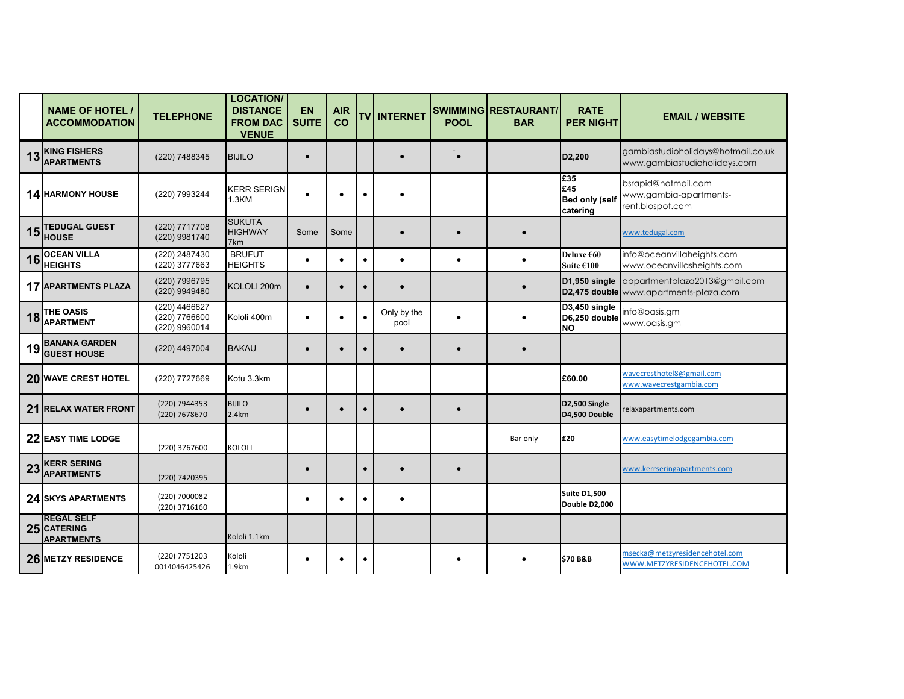|    | <b>NAME OF HOTEL /</b><br><b>ACCOMMODATION</b>        | <b>TELEPHONE</b>                                | <b>LOCATION/</b><br><b>DISTANCE</b><br><b>FROM DAC</b><br><b>VENUE</b> | <b>EN</b><br><b>SUITE</b> | <b>AIR</b><br>CO |           | <b>TV INTERNET</b>  | <b>POOL</b> | SWIMMING RESTAURANT/<br><b>BAR</b> | <b>RATE</b><br><b>PER NIGHT</b>                 | <b>EMAIL / WEBSITE</b>                                                  |
|----|-------------------------------------------------------|-------------------------------------------------|------------------------------------------------------------------------|---------------------------|------------------|-----------|---------------------|-------------|------------------------------------|-------------------------------------------------|-------------------------------------------------------------------------|
| 13 | <b>KING FISHERS</b><br><b>APARTMENTS</b>              | (220) 7488345                                   | <b>BIJILO</b>                                                          | $\bullet$                 |                  |           |                     | $\bullet$   |                                    | D <sub>2</sub> ,200                             | gambiastudioholidays@hotmail.co.uk<br>www.gambiastudioholidays.com      |
|    | <b>14 HARMONY HOUSE</b>                               | (220) 7993244                                   | <b>KERR SERIGN</b><br>1.3KM                                            | $\bullet$                 | $\bullet$        |           |                     |             |                                    | £35<br>£45<br><b>Bed only (self</b><br>catering | bsrapid@hotmail.com<br>www.gambia-apartments-<br>rent.blospot.com       |
| 15 | <b>TEDUGAL GUEST</b><br><b>HOUSE</b>                  | (220) 7717708<br>(220) 9981740                  | <b>SUKUTA</b><br><b>HIGHWAY</b><br>7km                                 | Some                      | Some             |           | $\bullet$           | $\bullet$   | $\bullet$                          |                                                 | www.tedugal.com                                                         |
| 16 | <b>OCEAN VILLA</b><br><b>HEIGHTS</b>                  | (220) 2487430<br>(220) 3777663                  | <b>BRUFUT</b><br><b>HEIGHTS</b>                                        | $\bullet$                 | $\bullet$        |           | $\bullet$           | $\bullet$   | $\bullet$                          | Deluxe €60<br>Suite €100                        | info@oceanvillaheights.com<br>www.oceanvillasheights.com                |
|    | <b>17 APARTMENTS PLAZA</b>                            | (220) 7996795<br>(220) 9949480                  | KOLOLI 200m                                                            | $\bullet$                 | $\bullet$        |           |                     |             | $\bullet$                          | D1,950 single                                   | appartmentplaza2013@gmail.com<br>D2,475 double www.apartments-plaza.com |
| 18 | THE OASIS<br><b>APARTMENT</b>                         | (220) 4466627<br>(220) 7766600<br>(220) 9960014 | Kololi 400m                                                            | $\bullet$                 | $\bullet$        |           | Only by the<br>pool |             |                                    | D3,450 single<br>D6,250 double<br><b>NO</b>     | info@oasis.gm<br>www.oasis.gm                                           |
| 19 | <b>BANANA GARDEN</b><br><b>GUEST HOUSE</b>            | (220) 4497004                                   | <b>BAKAU</b>                                                           | $\bullet$                 | $\bullet$        |           | $\bullet$           | $\bullet$   | $\bullet$                          |                                                 |                                                                         |
|    | 20 WAVE CREST HOTEL                                   | (220) 7727669                                   | Kotu 3.3km                                                             |                           |                  |           |                     |             |                                    | £60.00                                          | wavecresthotel8@gmail.com<br>www.wavecrestgambia.com                    |
|    | 21 RELAX WATER FRONT                                  | (220) 7944353<br>(220) 7678670                  | <b>BIJILO</b><br>2.4km                                                 | $\bullet$                 | $\bullet$        |           | $\bullet$           | $\bullet$   |                                    | D2,500 Single<br>D4,500 Double                  | relaxapartments.com                                                     |
|    | 22 EASY TIME LODGE                                    | (220) 3767600                                   | KOLOLI                                                                 |                           |                  |           |                     |             | Bar only                           | <b>£20</b>                                      | www.easytimelodgegambia.com                                             |
| 23 | <b>KERR SERING</b><br><b>APARTMENTS</b>               | (220) 7420395                                   |                                                                        | $\bullet$                 |                  | $\bullet$ | $\bullet$           | $\bullet$   |                                    |                                                 | www.kerrseringapartments.com                                            |
|    | 24 SKYS APARTMENTS                                    | (220) 7000082<br>(220) 3716160                  |                                                                        | $\bullet$                 | $\bullet$        | $\bullet$ | ٠                   |             |                                    | <b>Suite D1,500</b><br>Double D2,000            |                                                                         |
|    | <b>REGAL SELF</b><br>25 CATERING<br><b>APARTMENTS</b> |                                                 | Kololi 1.1km                                                           |                           |                  |           |                     |             |                                    |                                                 |                                                                         |
|    | 26 METZY RESIDENCE                                    | (220) 7751203<br>0014046425426                  | Kololi<br>1.9km                                                        | $\bullet$                 | $\bullet$        |           |                     |             |                                    | <b>\$70 B&amp;B</b>                             | msecka@metzyresidencehotel.com<br>WWW.METZYRESIDENCEHOTEL.COM           |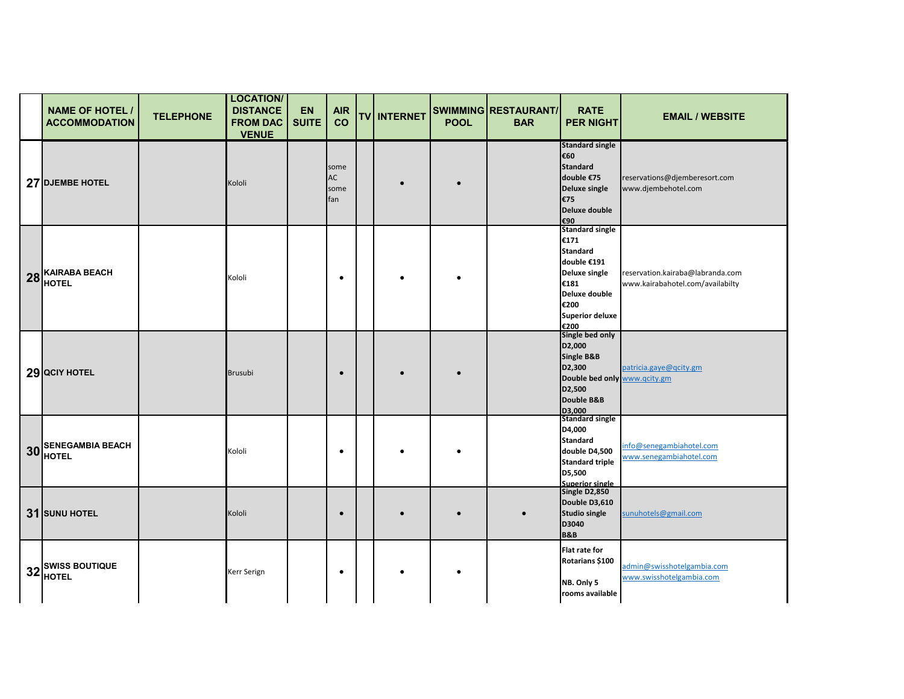| <b>NAME OF HOTEL /</b><br><b>ACCOMMODATION</b> | <b>TELEPHONE</b> | <b>LOCATION/</b><br><b>DISTANCE</b><br><b>FROM DAC</b><br><b>VENUE</b> | <b>EN</b><br><b>SUITE</b> | <b>AIR</b><br>co          | TV INTERNET | <b>POOL</b> | SWIMMING RESTAURANT/<br><b>BAR</b> | <b>RATE</b><br><b>PER NIGHT</b>                                                                                                                      | <b>EMAIL / WEBSITE</b>                                               |
|------------------------------------------------|------------------|------------------------------------------------------------------------|---------------------------|---------------------------|-------------|-------------|------------------------------------|------------------------------------------------------------------------------------------------------------------------------------------------------|----------------------------------------------------------------------|
| 27 DJEMBE HOTEL                                |                  | Kololi                                                                 |                           | some<br>AC<br>some<br>fan |             |             |                                    | <b>Standard single</b><br>€60<br><b>Standard</b><br>double €75<br>Deluxe single<br>€75<br>Deluxe double<br>€90                                       | reservations@djemberesort.com<br>www.djembehotel.com                 |
| 28 KAIRABA BEACH                               |                  | Kololi                                                                 |                           | $\bullet$                 |             |             |                                    | <b>Standard single</b><br>€171<br><b>Standard</b><br>double €191<br>Deluxe single<br>€181<br>Deluxe double<br>€200<br><b>Superior deluxe</b><br>€200 | reservation.kairaba@labranda.com<br>www.kairabahotel.com/availabilty |
| 29 QCIY HOTEL                                  |                  | <b>Brusubi</b>                                                         |                           | $\bullet$                 |             |             |                                    | Single bed only<br>D <sub>2</sub> ,000<br>Single B&B<br>D <sub>2</sub> ,300<br>Double bed only www.qcity.gm<br>D2,500<br>Double B&B<br>D3,000        | patricia.gaye@qcity.gm                                               |
| 30 SENEGAMBIA BEACH                            |                  | Kololi                                                                 |                           | $\bullet$                 |             |             |                                    | <b>Standard single</b><br>D4,000<br><b>Standard</b><br>double D4,500<br><b>Standard triple</b><br>D5,500<br><b>Superior single</b>                   | info@senegambiahotel.com<br>www.senegambiahotel.com                  |
| 31 SUNU HOTEL                                  |                  | Kololi                                                                 |                           | $\bullet$                 |             |             |                                    | Single D2,850<br>Double D3,610<br><b>Studio single</b><br>D3040<br><b>B&amp;B</b>                                                                    | sunuhotels@gmail.com                                                 |
| 32 SWISS BOUTIQUE                              |                  | Kerr Serign                                                            |                           | $\bullet$                 |             |             |                                    | Flat rate for<br>Rotarians \$100<br>NB. Only 5<br>rooms available                                                                                    | admin@swisshotelgambia.com<br>www.swisshotelgambia.com               |